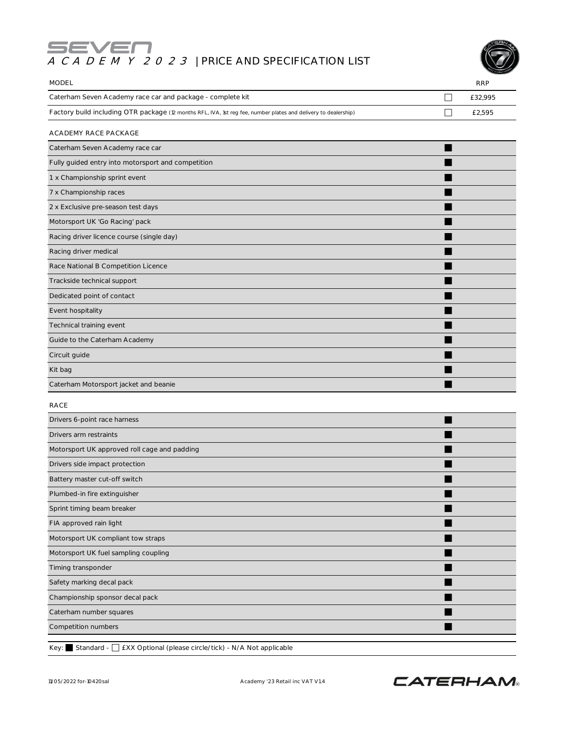# **ACADEMY 2023** | PRICE AND SPECIFICATION LIST



| <b>MODEL</b>                                                                                                    |   | <b>RRP</b> |
|-----------------------------------------------------------------------------------------------------------------|---|------------|
| Caterham Seven Academy race car and package - complete kit                                                      | П | £32,995    |
| Factory build including OTR package (12 months RFL, IVA, 1st reg fee, number plates and delivery to dealership) | H | £2,595     |
| ACADEMY RACE PACKAGE                                                                                            |   |            |
| Caterham Seven Academy race car                                                                                 |   |            |
| Fully guided entry into motorsport and competition                                                              |   |            |
| 1 x Championship sprint event                                                                                   |   |            |
| 7 x Championship races                                                                                          |   |            |
| 2 x Exclusive pre-season test days                                                                              |   |            |
| Motorsport UK 'Go Racing' pack                                                                                  |   |            |
| Racing driver licence course (single day)                                                                       |   |            |
| Racing driver medical                                                                                           |   |            |
| Race National B Competition Licence                                                                             |   |            |
| Trackside technical support                                                                                     |   |            |
| Dedicated point of contact                                                                                      |   |            |
| Event hospitality                                                                                               |   |            |
| Technical training event                                                                                        |   |            |
| Guide to the Caterham Academy                                                                                   |   |            |
| Circuit guide                                                                                                   |   |            |
| Kit bag                                                                                                         |   |            |
| Caterham Motorsport jacket and beanie                                                                           |   |            |
| <b>RACE</b>                                                                                                     |   |            |
| Drivers 6-point race harness                                                                                    |   |            |
| Drivers arm restraints                                                                                          |   |            |
| Motorsport UK approved roll cage and padding                                                                    |   |            |
| Drivers side impact protection                                                                                  |   |            |
| Battery master cut-off switch                                                                                   |   |            |
| Plumbed-in fire extinguisher                                                                                    |   |            |
| Sprint timing beam breaker                                                                                      |   |            |
| FIA approved rain light                                                                                         |   |            |
| Motorsport UK compliant tow straps                                                                              |   |            |
| Motorsport UK fuel sampling coupling                                                                            |   |            |
| Timing transponder                                                                                              |   |            |
| Safety marking decal pack                                                                                       |   |            |
| Championship sponsor decal pack                                                                                 |   |            |
| Caterham number squares                                                                                         |   |            |
| Competition numbers                                                                                             |   |            |

Key: Standard - □ £XX Optional (please circle/tick) - N/A Not applicable

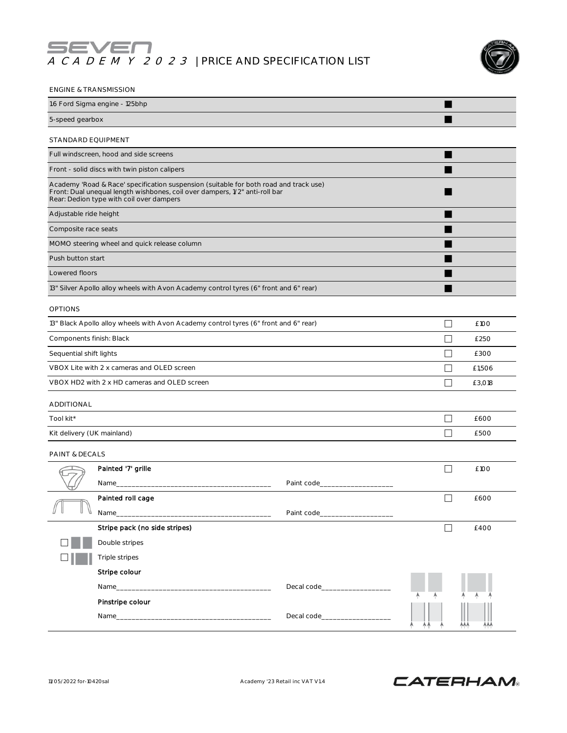## **ACADEMY 2023** | PRICE AND SPECIFICATION LIST



| 1.6 Ford Sigma engine - 125bhp<br>5-speed gearbox<br>STANDARD EQUIPMENT<br>Full windscreen, hood and side screens<br>Front - solid discs with twin piston calipers                                               |  |
|------------------------------------------------------------------------------------------------------------------------------------------------------------------------------------------------------------------|--|
|                                                                                                                                                                                                                  |  |
|                                                                                                                                                                                                                  |  |
|                                                                                                                                                                                                                  |  |
|                                                                                                                                                                                                                  |  |
|                                                                                                                                                                                                                  |  |
| Academy 'Road & Race' specification suspension (suitable for both road and track use)<br>Front: Dual unequal length wishbones, coil over dampers, 1/2" anti-roll bar<br>Rear: Dedion type with coil over dampers |  |
| Adjustable ride height                                                                                                                                                                                           |  |
| Composite race seats                                                                                                                                                                                             |  |
| MOMO steering wheel and quick release column                                                                                                                                                                     |  |
| Push button start                                                                                                                                                                                                |  |
| Lowered floors                                                                                                                                                                                                   |  |
| 13" Silver Apollo alloy wheels with Avon Academy control tyres (6" front and 6" rear)                                                                                                                            |  |
| <b>OPTIONS</b>                                                                                                                                                                                                   |  |
| 13" Black Apollo alloy wheels with Avon Academy control tyres (6" front and 6" rear)<br>П<br>£100                                                                                                                |  |
| Components finish: Black<br>□<br>£250                                                                                                                                                                            |  |
| ┓<br>Sequential shift lights<br>£300                                                                                                                                                                             |  |
| VBOX Lite with 2 x cameras and OLED screen<br>П<br>£1,506                                                                                                                                                        |  |
| VBOX HD2 with 2 x HD cameras and OLED screen<br>□<br>£3,018                                                                                                                                                      |  |
| ADDITIONAL                                                                                                                                                                                                       |  |
| Tool kit*<br>£600<br>$\vert \ \ \vert$                                                                                                                                                                           |  |
| Kit delivery (UK mainland)<br>- 1<br>£500                                                                                                                                                                        |  |
| PAINT & DECALS                                                                                                                                                                                                   |  |
| Painted '7' grille<br>£100<br>$\overline{\phantom{a}}$                                                                                                                                                           |  |
| Paint code<br>Name                                                                                                                                                                                               |  |
| $\Box$<br>Painted roll cage<br>£600                                                                                                                                                                              |  |
| Name_                                                                                                                                                                                                            |  |
| Stripe pack (no side stripes)<br>П<br>£400                                                                                                                                                                       |  |
| Double stripes                                                                                                                                                                                                   |  |
| Triple stripes                                                                                                                                                                                                   |  |
| Stripe colour                                                                                                                                                                                                    |  |
| Decal code______________                                                                                                                                                                                         |  |
| Pinstripe colour                                                                                                                                                                                                 |  |
| Decal code <b>Decay</b>                                                                                                                                                                                          |  |

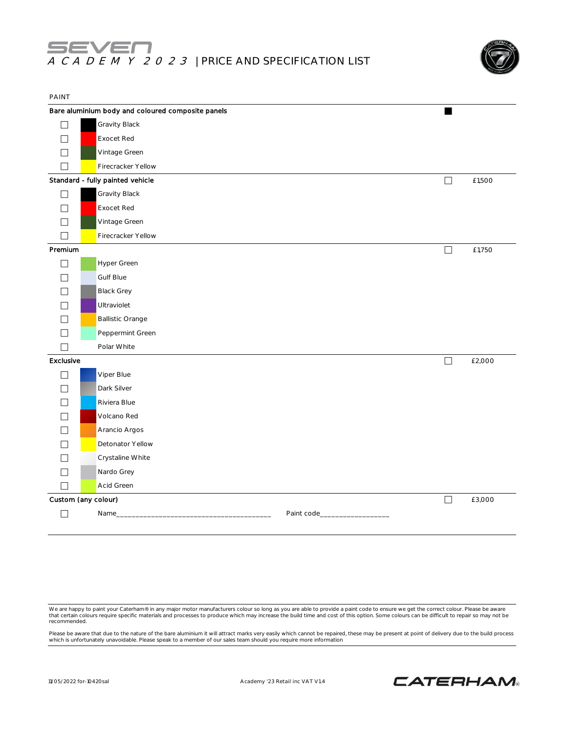

| Bare aluminium body and coloured composite panels<br>Gravity Black<br>П<br>Exocet Red<br>Vintage Green<br>Firecracker Yellow<br>Standard - fully painted vehicle<br>П |        |
|-----------------------------------------------------------------------------------------------------------------------------------------------------------------------|--------|
|                                                                                                                                                                       |        |
|                                                                                                                                                                       |        |
|                                                                                                                                                                       |        |
|                                                                                                                                                                       |        |
|                                                                                                                                                                       |        |
|                                                                                                                                                                       | £1,500 |
| Gravity Black                                                                                                                                                         |        |
| Exocet Red                                                                                                                                                            |        |
| Vintage Green                                                                                                                                                         |        |
| Firecracker Yellow<br>$\vert \ \ \vert$                                                                                                                               |        |
| Premium<br>П                                                                                                                                                          | £1,750 |
| Hyper Green                                                                                                                                                           |        |
| <b>Gulf Blue</b>                                                                                                                                                      |        |
| <b>Black Grey</b>                                                                                                                                                     |        |
| Ultraviolet                                                                                                                                                           |        |
| <b>Ballistic Orange</b>                                                                                                                                               |        |
| Peppermint Green                                                                                                                                                      |        |
| Polar White<br>ΓI                                                                                                                                                     |        |
| Exclusive<br>$\Box$                                                                                                                                                   | £2,000 |
| Viper Blue<br>П                                                                                                                                                       |        |
| Dark Silver                                                                                                                                                           |        |
| Riviera Blue                                                                                                                                                          |        |
| Volcano Red                                                                                                                                                           |        |
| Arancio Argos                                                                                                                                                         |        |
| Detonator Yellow                                                                                                                                                      |        |
| Crystaline White                                                                                                                                                      |        |
| Nardo Grey<br>ப                                                                                                                                                       |        |
| Acid Green<br>$\Box$                                                                                                                                                  |        |
| Custom (any colour)<br>$\Box$                                                                                                                                         | £3,000 |
| $\Box$<br>Paint code_<br>Name_                                                                                                                                        |        |

We are happy to paint your Caterham® in any major motor manufacturers colour so long as you are able to provide a paint code to ensure we get the correct colour. Please be aware<br>that certain colours require specific materi recommended.

Please be aware that due to the nature of the bare aluminium it will attract marks very easily which cannot be repaired, these may be present at point of delivery due to the build process<br>which is unfortunately unavoidable

11/05/2022 for-10420sal Academy '23 Retail inc VAT V1.4